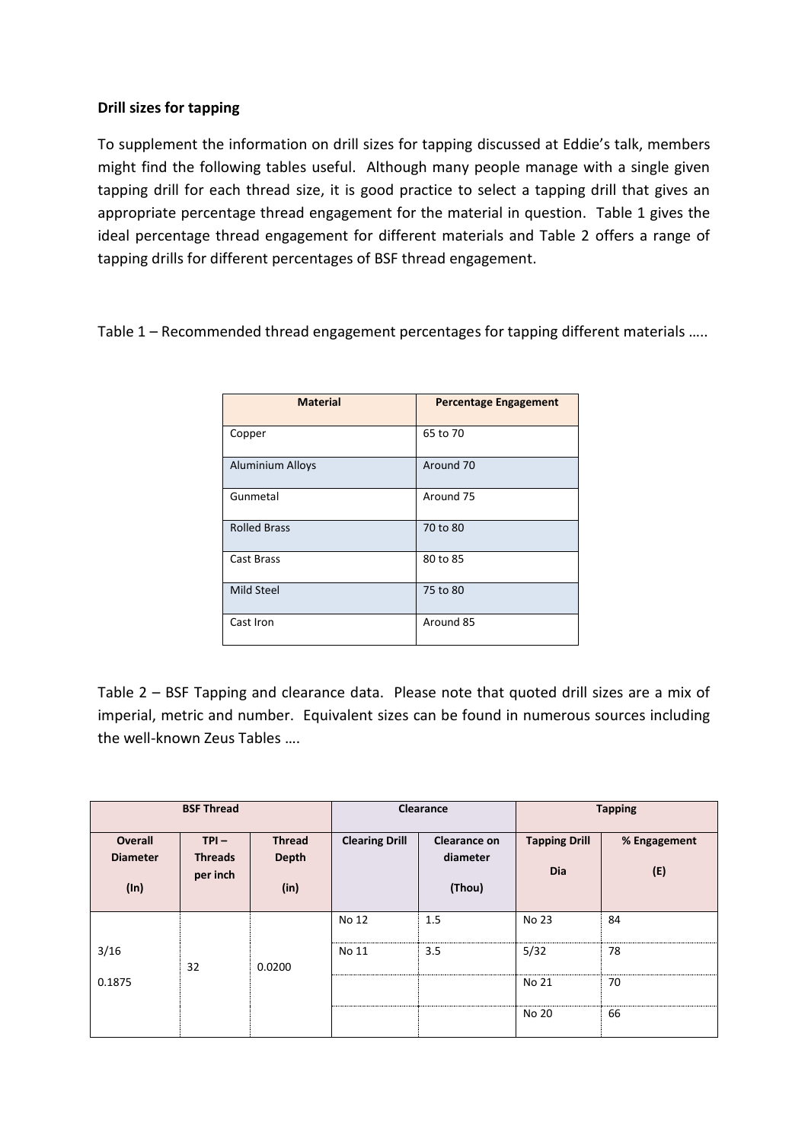## **Drill sizes for tapping**

To supplement the information on drill sizes for tapping discussed at Eddie's talk, members might find the following tables useful. Although many people manage with a single given tapping drill for each thread size, it is good practice to select a tapping drill that gives an appropriate percentage thread engagement for the material in question. Table 1 gives the ideal percentage thread engagement for different materials and Table 2 offers a range of tapping drills for different percentages of BSF thread engagement.

Table 1 – Recommended thread engagement percentages for tapping different materials …..

| <b>Material</b>         | <b>Percentage Engagement</b> |
|-------------------------|------------------------------|
| Copper                  | 65 to 70                     |
| <b>Aluminium Alloys</b> | Around 70                    |
| Gunmetal                | Around 75                    |
| <b>Rolled Brass</b>     | 70 to 80                     |
| Cast Brass              | 80 to 85                     |
| <b>Mild Steel</b>       | 75 to 80                     |
| Cast Iron               | Around 85                    |

Table 2 – BSF Tapping and clearance data. Please note that quoted drill sizes are a mix of imperial, metric and number. Equivalent sizes can be found in numerous sources including the well-known Zeus Tables ….

| <b>BSF Thread</b>                 |                           | Clearance              |                       | <b>Tapping</b>                  |                      |              |
|-----------------------------------|---------------------------|------------------------|-----------------------|---------------------------------|----------------------|--------------|
| <b>Overall</b><br><b>Diameter</b> | $TPI -$<br><b>Threads</b> | <b>Thread</b><br>Depth | <b>Clearing Drill</b> | <b>Clearance on</b><br>diameter | <b>Tapping Drill</b> | % Engagement |
| (ln)                              | per inch                  | (in)                   |                       | (Thou)                          | Dia                  | (E)          |
|                                   |                           |                        | No 12                 | 1.5                             | No 23                | 84           |
| 3/16                              | 32                        | 0.0200                 | No 11                 | 3.5                             | 5/32                 | 78           |
| 0.1875                            |                           |                        |                       |                                 | No 21                | 70           |
|                                   |                           |                        |                       |                                 | No 20                | 66           |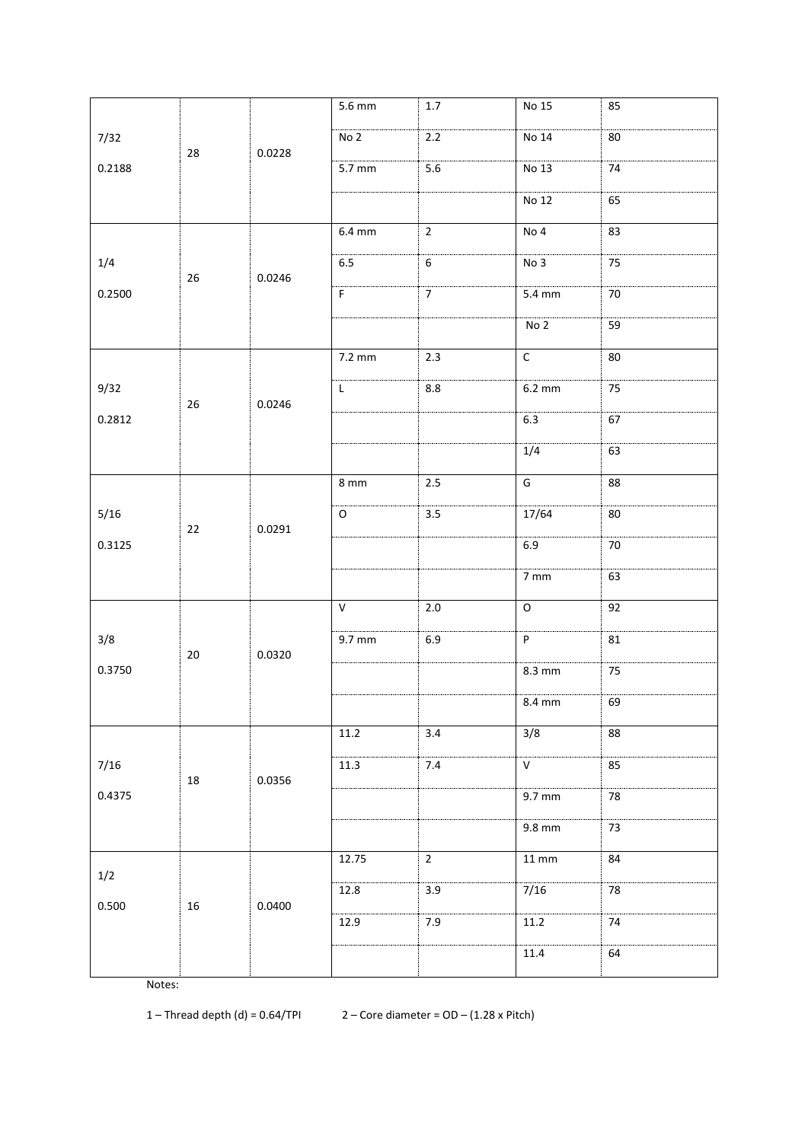| No <sub>2</sub><br>2.2<br>No 14<br>80<br>7/32<br>0.0228<br>28<br>0.2188<br>$5.6\,$<br>5.7 mm<br>No 13<br>74<br><b>No 12</b><br>65<br>$6.4 \text{ mm}$<br>$\overline{2}$<br>No 4<br>83<br>$6.5\,$<br>75<br>1/4<br>$\,$ 6 $\,$<br>No 3<br>26<br>0.0246<br>0.2500<br>$\mathsf F$<br>$\overline{7}$<br>5.4 mm<br>70<br>No <sub>2</sub><br>59<br>$\mathsf C$<br>7.2 mm<br>$2.3$<br>80<br>9/32<br>$8.8\,$<br>$6.2 \text{ mm}$<br>75<br>L<br>26<br>0.0246<br>6.3<br>0.2812<br>67<br>1/4<br>63<br>G<br>8 mm<br>2.5<br>88<br>17/64<br>$3.5\,$<br>5/16<br>$\mathsf O$<br>80<br>0.0291<br>22<br>6.9<br>0.3125<br>70<br>$7 \, \text{mm}$<br>63<br>$\mathsf{V}$<br>$\mathsf O$<br>$2.0\,$<br>92<br>3/8<br>9.7 mm<br>P<br>$6.9\,$<br>81<br>0.0320<br>$20\,$<br>0.3750<br>$8.3 \text{ mm}$<br>75<br>69<br>8.4 mm<br>3/8<br>3.4<br>11.2<br>88<br>$\overline{11.3}$<br>7.4<br>$\overline{\mathsf{v}}$<br>85<br>7/16<br>0.0356<br>18<br>0.4375<br>9.7 mm<br>78<br>9.8 mm<br>73<br>12.75<br>$\overline{2}$<br>$11\,\mathrm{mm}$<br>84<br>$1/2$<br>7/16<br>12.8<br>3.9<br>78<br>0.0400<br>0.500<br>16<br>12.9<br>7.9<br>11.2<br>$74\,$<br>11.4<br>64 |  |  |  | 5.6 mm | $1.7\,$ | No 15 | 85 |
|----------------------------------------------------------------------------------------------------------------------------------------------------------------------------------------------------------------------------------------------------------------------------------------------------------------------------------------------------------------------------------------------------------------------------------------------------------------------------------------------------------------------------------------------------------------------------------------------------------------------------------------------------------------------------------------------------------------------------------------------------------------------------------------------------------------------------------------------------------------------------------------------------------------------------------------------------------------------------------------------------------------------------------------------------------------------------------------------------------------------------------|--|--|--|--------|---------|-------|----|
|                                                                                                                                                                                                                                                                                                                                                                                                                                                                                                                                                                                                                                                                                                                                                                                                                                                                                                                                                                                                                                                                                                                                  |  |  |  |        |         |       |    |
|                                                                                                                                                                                                                                                                                                                                                                                                                                                                                                                                                                                                                                                                                                                                                                                                                                                                                                                                                                                                                                                                                                                                  |  |  |  |        |         |       |    |
|                                                                                                                                                                                                                                                                                                                                                                                                                                                                                                                                                                                                                                                                                                                                                                                                                                                                                                                                                                                                                                                                                                                                  |  |  |  |        |         |       |    |
|                                                                                                                                                                                                                                                                                                                                                                                                                                                                                                                                                                                                                                                                                                                                                                                                                                                                                                                                                                                                                                                                                                                                  |  |  |  |        |         |       |    |
|                                                                                                                                                                                                                                                                                                                                                                                                                                                                                                                                                                                                                                                                                                                                                                                                                                                                                                                                                                                                                                                                                                                                  |  |  |  |        |         |       |    |
|                                                                                                                                                                                                                                                                                                                                                                                                                                                                                                                                                                                                                                                                                                                                                                                                                                                                                                                                                                                                                                                                                                                                  |  |  |  |        |         |       |    |
|                                                                                                                                                                                                                                                                                                                                                                                                                                                                                                                                                                                                                                                                                                                                                                                                                                                                                                                                                                                                                                                                                                                                  |  |  |  |        |         |       |    |
|                                                                                                                                                                                                                                                                                                                                                                                                                                                                                                                                                                                                                                                                                                                                                                                                                                                                                                                                                                                                                                                                                                                                  |  |  |  |        |         |       |    |
|                                                                                                                                                                                                                                                                                                                                                                                                                                                                                                                                                                                                                                                                                                                                                                                                                                                                                                                                                                                                                                                                                                                                  |  |  |  |        |         |       |    |
|                                                                                                                                                                                                                                                                                                                                                                                                                                                                                                                                                                                                                                                                                                                                                                                                                                                                                                                                                                                                                                                                                                                                  |  |  |  |        |         |       |    |
|                                                                                                                                                                                                                                                                                                                                                                                                                                                                                                                                                                                                                                                                                                                                                                                                                                                                                                                                                                                                                                                                                                                                  |  |  |  |        |         |       |    |
|                                                                                                                                                                                                                                                                                                                                                                                                                                                                                                                                                                                                                                                                                                                                                                                                                                                                                                                                                                                                                                                                                                                                  |  |  |  |        |         |       |    |
|                                                                                                                                                                                                                                                                                                                                                                                                                                                                                                                                                                                                                                                                                                                                                                                                                                                                                                                                                                                                                                                                                                                                  |  |  |  |        |         |       |    |
|                                                                                                                                                                                                                                                                                                                                                                                                                                                                                                                                                                                                                                                                                                                                                                                                                                                                                                                                                                                                                                                                                                                                  |  |  |  |        |         |       |    |
|                                                                                                                                                                                                                                                                                                                                                                                                                                                                                                                                                                                                                                                                                                                                                                                                                                                                                                                                                                                                                                                                                                                                  |  |  |  |        |         |       |    |
|                                                                                                                                                                                                                                                                                                                                                                                                                                                                                                                                                                                                                                                                                                                                                                                                                                                                                                                                                                                                                                                                                                                                  |  |  |  |        |         |       |    |
|                                                                                                                                                                                                                                                                                                                                                                                                                                                                                                                                                                                                                                                                                                                                                                                                                                                                                                                                                                                                                                                                                                                                  |  |  |  |        |         |       |    |
|                                                                                                                                                                                                                                                                                                                                                                                                                                                                                                                                                                                                                                                                                                                                                                                                                                                                                                                                                                                                                                                                                                                                  |  |  |  |        |         |       |    |
|                                                                                                                                                                                                                                                                                                                                                                                                                                                                                                                                                                                                                                                                                                                                                                                                                                                                                                                                                                                                                                                                                                                                  |  |  |  |        |         |       |    |
|                                                                                                                                                                                                                                                                                                                                                                                                                                                                                                                                                                                                                                                                                                                                                                                                                                                                                                                                                                                                                                                                                                                                  |  |  |  |        |         |       |    |
|                                                                                                                                                                                                                                                                                                                                                                                                                                                                                                                                                                                                                                                                                                                                                                                                                                                                                                                                                                                                                                                                                                                                  |  |  |  |        |         |       |    |
|                                                                                                                                                                                                                                                                                                                                                                                                                                                                                                                                                                                                                                                                                                                                                                                                                                                                                                                                                                                                                                                                                                                                  |  |  |  |        |         |       |    |
|                                                                                                                                                                                                                                                                                                                                                                                                                                                                                                                                                                                                                                                                                                                                                                                                                                                                                                                                                                                                                                                                                                                                  |  |  |  |        |         |       |    |
|                                                                                                                                                                                                                                                                                                                                                                                                                                                                                                                                                                                                                                                                                                                                                                                                                                                                                                                                                                                                                                                                                                                                  |  |  |  |        |         |       |    |
|                                                                                                                                                                                                                                                                                                                                                                                                                                                                                                                                                                                                                                                                                                                                                                                                                                                                                                                                                                                                                                                                                                                                  |  |  |  |        |         |       |    |
|                                                                                                                                                                                                                                                                                                                                                                                                                                                                                                                                                                                                                                                                                                                                                                                                                                                                                                                                                                                                                                                                                                                                  |  |  |  |        |         |       |    |
|                                                                                                                                                                                                                                                                                                                                                                                                                                                                                                                                                                                                                                                                                                                                                                                                                                                                                                                                                                                                                                                                                                                                  |  |  |  |        |         |       |    |

Notes:

1 – Thread depth (d) =  $0.64$ /TPI 2 – Core diameter =  $OD - (1.28 \times$  Pitch)